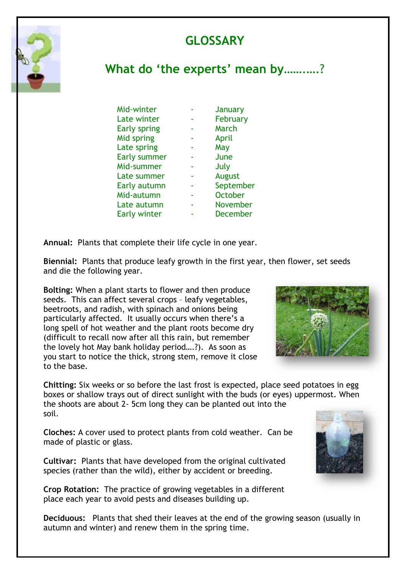## **GLOSSARY**



## **What do 'the experts' mean by**…….….?

| Mid-winter          | January         |
|---------------------|-----------------|
| Late winter         | February        |
| <b>Early spring</b> | March           |
| Mid spring          | April           |
| Late spring         | May             |
| <b>Early summer</b> | June            |
| Mid-summer          | July            |
| Late summer         | <b>August</b>   |
| Early autumn        | September       |
| Mid-autumn          | <b>October</b>  |
| Late autumn         | November        |
| <b>Early winter</b> | <b>December</b> |

**Annual:** Plants that complete their life cycle in one year.

**Biennial:** Plants that produce leafy growth in the first year, then flower, set seeds and die the following year.

**Bolting:** When a plant starts to flower and then produce seeds. This can affect several crops – leafy vegetables, beetroots, and radish, with spinach and onions being particularly affected. It usually occurs when there's a long spell of hot weather and the plant roots become dry (difficult to recall now after all this rain, but remember the lovely hot May bank holiday period….?). As soon as you start to notice the thick, strong stem, remove it close to the base.



**Chitting:** Six weeks or so before the last frost is expected, place seed potatoes in egg boxes or shallow trays out of direct sunlight with the buds (or eyes) uppermost. When the shoots are about 2- 5cm long they can be planted out into the soil.

**Cloches:** A cover used to protect plants from cold weather. Can be made of plastic or glass.

**Cultivar:** Plants that have developed from the original cultivated species (rather than the wild), either by accident or breeding.

**Crop Rotation:** The practice of growing vegetables in a different place each year to avoid pests and diseases building up.

**Deciduous:** Plants that shed their leaves at the end of the growing season (usually in autumn and winter) and renew them in the spring time.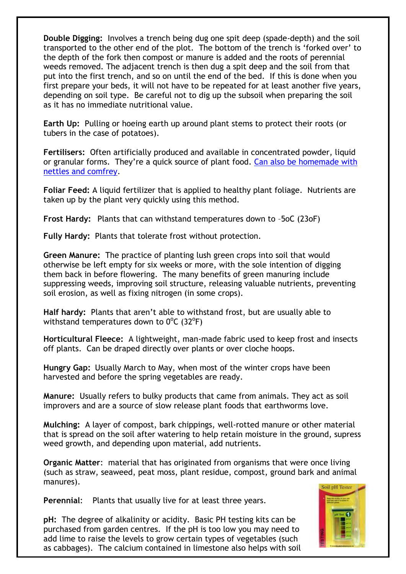**Double Digging:** Involves a trench being dug one spit deep (spade-depth) and the soil transported to the other end of the plot. The bottom of the trench is 'forked over' to the depth of the fork then compost or manure is added and the roots of perennial weeds removed. The adjacent trench is then dug a spit deep and the soil from that put into the first trench, and so on until the end of the bed. If this is done when you first prepare your beds, it will not have to be repeated for at least another five years, depending on soil type. Be careful not to dig up the subsoil when preparing the soil as it has no immediate nutritional value.

**Earth Up:** Pulling or hoeing earth up around plant stems to protect their roots (or tubers in the case of potatoes).

**Fertilisers:** Often artificially produced and available in concentrated powder, liquid or granular forms. They're a quick source of plant food. Can also be homemade with [nettles and comfrey.](http://greensideup.ie/how-to-make-comfrey-nettle-fertiliser/)

**Foliar Feed:** A liquid fertilizer that is applied to healthy plant foliage. Nutrients are taken up by the plant very quickly using this method.

**Frost Hardy:** Plants that can withstand temperatures down to –5oC (23oF)

**Fully Hardy:** Plants that tolerate frost without protection.

**Green Manure:** The practice of planting lush green crops into soil that would otherwise be left empty for six weeks or more, with the sole intention of digging them back in before flowering. The many benefits of green manuring include suppressing weeds, improving soil structure, releasing valuable nutrients, preventing soil erosion, as well as fixing nitrogen (in some crops).

**Half hardy:** Plants that aren't able to withstand frost, but are usually able to withstand temperatures down to  $0^{\circ}$ C (32 $^{\circ}$ F)

**Horticultural Fleece:** A lightweight, man-made fabric used to keep frost and insects off plants. Can be draped directly over plants or over cloche hoops.

**Hungry Gap:** Usually March to May, when most of the winter crops have been harvested and before the spring vegetables are ready.

**Manure:** Usually refers to bulky products that came from animals. They act as soil improvers and are a source of slow release plant foods that earthworms love.

**Mulching:** A layer of compost, bark chippings, well-rotted manure or other material that is spread on the soil after watering to help retain moisture in the ground, supress weed growth, and depending upon material, add nutrients.

**Organic Matter**: material that has originated from organisms that were once living (such as straw, seaweed, peat moss, plant residue, compost, ground bark and animal manures).

**Perennial**: Plants that usually live for at least three years.

**pH:** The degree of alkalinity or acidity. Basic PH testing kits can be purchased from garden centres. If the pH is too low you may need to add lime to raise the levels to grow certain types of vegetables (such as cabbages). The calcium contained in limestone also helps with soil